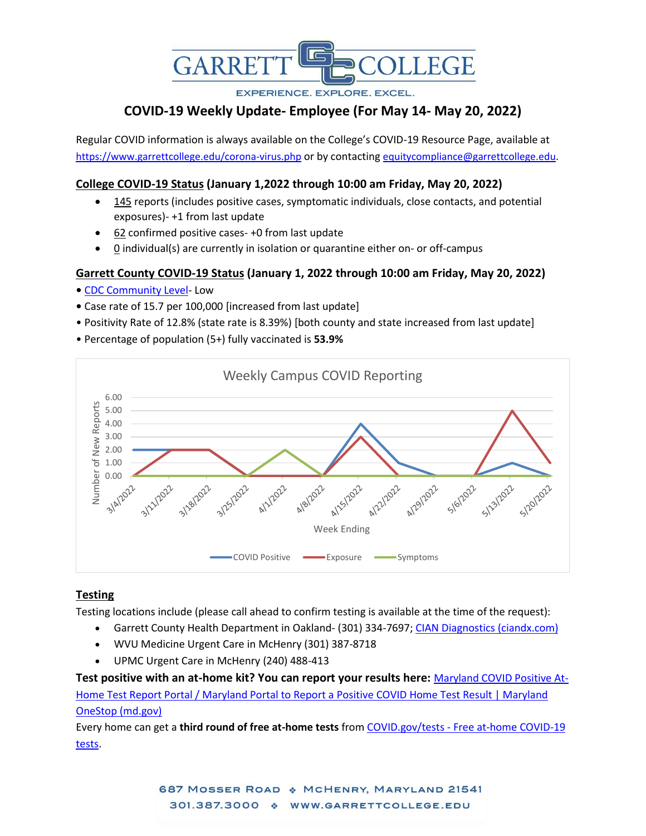

**EXPERIENCE, EXPLORE, EXCEL.** 

# **COVID-19 Weekly Update- Employee (For May 14- May 20, 2022)**

Regular COVID information is always available on the College's COVID-19 Resource Page, available at <https://www.garrettcollege.edu/corona-virus.php> or by contacting [equitycompliance@garrettcollege.edu.](mailto:equitycompliance@garrettcollege.edu)

### **College COVID-19 Status (January 1,2022 through 10:00 am Friday, May 20, 2022)**

- 145 reports (includes positive cases, symptomatic individuals, close contacts, and potential exposures)- +1 from last update
- 62 confirmed positive cases- +0 from last update
- $0$  individual(s) are currently in isolation or quarantine either on- or off-campus

## **Garrett County COVID-19 Status (January 1, 2022 through 10:00 am Friday, May 20, 2022)**

- [CDC Community Level-](https://www.cdc.gov/coronavirus/2019-ncov/science/community-levels.html) Low
- Case rate of 15.7 per 100,000 [increased from last update]
- Positivity Rate of 12.8% (state rate is 8.39%) [both county and state increased from last update]
- Percentage of population (5+) fully vaccinated is **53.9%**



### **Testing**

Testing locations include (please call ahead to confirm testing is available at the time of the request):

- Garrett County Health Department in Oakland- (301) 334-7697; [CIAN Diagnostics \(ciandx.com\)](https://portal.ciandx.com/register?team=garrett_county_hd)
- WVU Medicine Urgent Care in McHenry (301) 387-8718
- UPMC Urgent Care in McHenry (240) 488-413

**Test positive with an at-home kit? You can report your results here:** [Maryland COVID Positive At-](https://onestop.md.gov/forms/maryland-covid-at-home-test-self-report-61dc801b819e860001f1037a)[Home Test Report Portal / Maryland Portal to Report a](https://onestop.md.gov/forms/maryland-covid-at-home-test-self-report-61dc801b819e860001f1037a) Positive COVID Home Test Result | Maryland [OneStop \(md.gov\)](https://onestop.md.gov/forms/maryland-covid-at-home-test-self-report-61dc801b819e860001f1037a)

Every home can get a **third round of free at-home tests** from COVID.gov/tests - [Free at-home COVID-19](https://www.covid.gov/tests)  [tests.](https://www.covid.gov/tests)